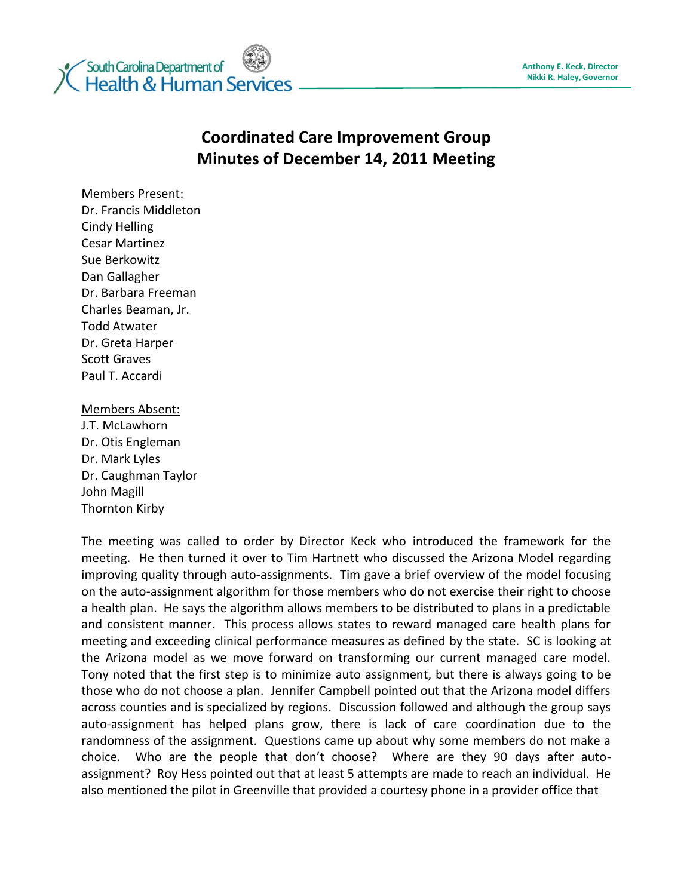

## **Coordinated Care Improvement Group Minutes of December 14, 2011 Meeting**

Members Present:

Dr. Francis Middleton Cindy Helling Cesar Martinez Sue Berkowitz Dan Gallagher Dr. Barbara Freeman Charles Beaman, Jr. Todd Atwater Dr. Greta Harper Scott Graves Paul T. Accardi

## Members Absent:

J.T. McLawhorn Dr. Otis Engleman Dr. Mark Lyles Dr. Caughman Taylor John Magill Thornton Kirby

The meeting was called to order by Director Keck who introduced the framework for the meeting. He then turned it over to Tim Hartnett who discussed the Arizona Model regarding improving quality through auto-assignments. Tim gave a brief overview of the model focusing on the auto-assignment algorithm for those members who do not exercise their right to choose a health plan. He says the algorithm allows members to be distributed to plans in a predictable and consistent manner. This process allows states to reward managed care health plans for meeting and exceeding clinical performance measures as defined by the state. SC is looking at the Arizona model as we move forward on transforming our current managed care model. Tony noted that the first step is to minimize auto assignment, but there is always going to be those who do not choose a plan. Jennifer Campbell pointed out that the Arizona model differs across counties and is specialized by regions. Discussion followed and although the group says auto-assignment has helped plans grow, there is lack of care coordination due to the randomness of the assignment. Questions came up about why some members do not make a choice. Who are the people that don't choose? Where are they 90 days after autoassignment? Roy Hess pointed out that at least 5 attempts are made to reach an individual. He also mentioned the pilot in Greenville that provided a courtesy phone in a provider office that